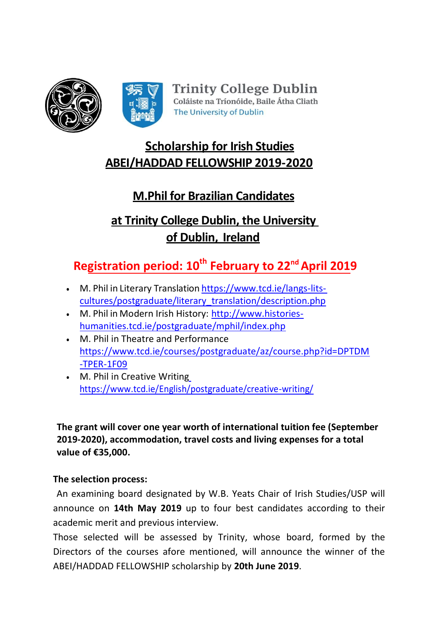

# **Scholarship for Irish Studies ABEI/HADDAD FELLOWSHIP 2019-2020**

# **M.Phil for Brazilian Candidates**

# **at Trinity College Dublin, the University of Dublin, Ireland**

# **Registration period: 10th February to 22 ndApril 2019**

- M. Phil in Literary Translation [https://www.tcd.ie/langs-lits](https://www.tcd.ie/langs-lits-cultures/postgraduate/literary_translation/description.php)[cultures/postgraduate/literary\\_translation/description.php](https://www.tcd.ie/langs-lits-cultures/postgraduate/literary_translation/description.php)
- M. Phil in Modern Irish History: [http://www.histories](http://www.histories-humanities.tcd.ie/postgraduate/mphil/index.php)[humanities.tcd.ie/postgraduate/mphil/index.php](http://www.histories-humanities.tcd.ie/postgraduate/mphil/index.php)
- M. Phil in Theatre and Performance [https://www.tcd.ie/courses/postgraduate/az/course.php?id=DPTDM](https://www.tcd.ie/courses/postgraduate/az/course.php?id=DPTDM-TPER-1F09) [-TPER-1F09](https://www.tcd.ie/courses/postgraduate/az/course.php?id=DPTDM-TPER-1F09)
- M. Phil in Creative Writin[g](https://www.tcd.ie/English/postgraduate/creative-writing/) <https://www.tcd.ie/English/postgraduate/creative-writing/>

**The grant will cover one year worth of international tuition fee (September 2019-2020), accommodation, travel costs and living expenses for a total value of €35,000.**

### **The selection process:**

An examining board designated by W.B. Yeats Chair of Irish Studies/USP will announce on **14th May 2019** up to four best candidates according to their academic merit and previous interview.

Those selected will be assessed by Trinity, whose board, formed by the Directors of the courses afore mentioned, will announce the winner of the ABEI/HADDAD FELLOWSHIP scholarship by **20th June 2019**.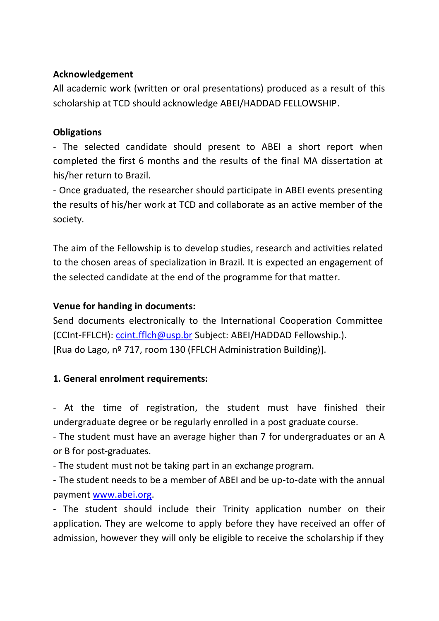#### **Acknowledgement**

All academic work (written or oral presentations) produced as a result of this scholarship at TCD should acknowledge ABEI/HADDAD FELLOWSHIP.

#### **Obligations**

- The selected candidate should present to ABEI a short report when completed the first 6 months and the results of the final MA dissertation at his/her return to Brazil.

- Once graduated, the researcher should participate in ABEI events presenting the results of his/her work at TCD and collaborate as an active member of the society.

The aim of the Fellowship is to develop studies, research and activities related to the chosen areas of specialization in Brazil. It is expected an engagement of the selected candidate at the end of the programme for that matter.

### **Venue for handing in documents:**

Send documents electronically to the International Cooperation Committee (CCInt-FFLCH): [ccint.fflch@usp.br](mailto:ccint.fflch@usp.br) Subject: ABEI/HADDAD Fellowship.). [Rua do Lago, nº 717, room 130 (FFLCH Administration Building)].

### **1. General enrolment requirements:**

- At the time of registration, the student must have finished their undergraduate degree or be regularly enrolled in a post graduate course.

- The student must have an average higher than 7 for undergraduates or an A or B for post-graduates.

- The student must not be taking part in an exchange program.

- The student needs to be a member of ABEI and be up-to-date with the annual payment [www.abei.org.](http://www.abei.org/)

- The student should include their Trinity application number on their application. They are welcome to apply before they have received an offer of admission, however they will only be eligible to receive the scholarship if they